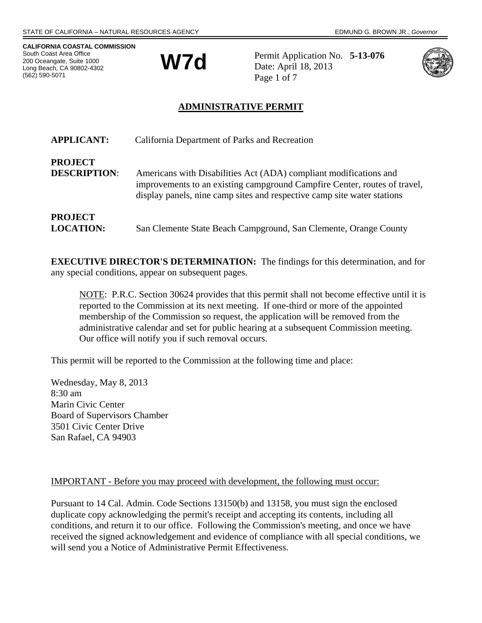**CALIFORNIA COASTAL COMMISSION** South Coast Area Office 200 Oceangate, Suite 1000 Long Beach, CA 90802-4302 (562) 590-5071



Permit Application No. **5-13-076** Date: April 18, 2013 Page 1 of 7



# **ADMINISTRATIVE PERMIT**

| <b>APPLICANT:</b>                     | California Department of Parks and Recreation                                                                                                                                                                             |
|---------------------------------------|---------------------------------------------------------------------------------------------------------------------------------------------------------------------------------------------------------------------------|
| <b>PROJECT</b><br><b>DESCRIPTION:</b> | Americans with Disabilities Act (ADA) compliant modifications and<br>improvements to an existing campground Campfire Center, routes of travel,<br>display panels, nine camp sites and respective camp site water stations |
| <b>PROJECT</b><br><b>LOCATION:</b>    | San Clemente State Beach Campground, San Clemente, Orange County                                                                                                                                                          |

**EXECUTIVE DIRECTOR'S DETERMINATION:** The findings for this determination, and for any special conditions, appear on subsequent pages.

NOTE: P.R.C. Section 30624 provides that this permit shall not become effective until it is reported to the Commission at its next meeting. If one-third or more of the appointed membership of the Commission so request, the application will be removed from the administrative calendar and set for public hearing at a subsequent Commission meeting. Our office will notify you if such removal occurs.

This permit will be reported to the Commission at the following time and place:

Wednesday, May 8, 2013 8:30 am Marin Civic Center Board of Supervisors Chamber 3501 Civic Center Drive San Rafael, CA 94903

### IMPORTANT - Before you may proceed with development, the following must occur:

Pursuant to 14 Cal. Admin. Code Sections 13150(b) and 13158, you must sign the enclosed duplicate copy acknowledging the permit's receipt and accepting its contents, including all conditions, and return it to our office. Following the Commission's meeting, and once we have received the signed acknowledgement and evidence of compliance with all special conditions, we will send you a Notice of Administrative Permit Effectiveness.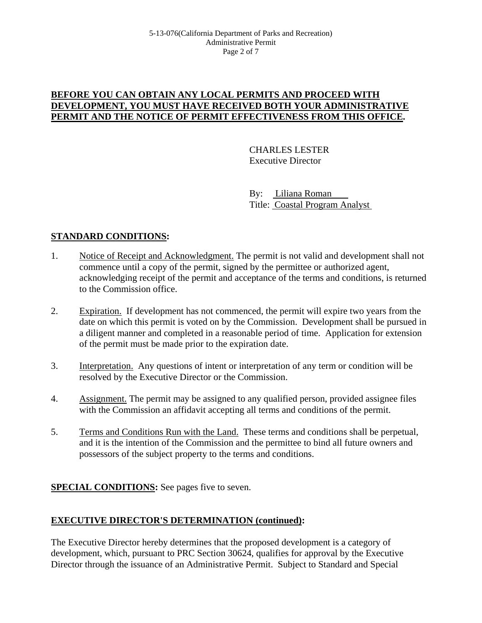### **BEFORE YOU CAN OBTAIN ANY LOCAL PERMITS AND PROCEED WITH DEVELOPMENT, YOU MUST HAVE RECEIVED BOTH YOUR ADMINISTRATIVE PERMIT AND THE NOTICE OF PERMIT EFFECTIVENESS FROM THIS OFFICE.**

CHARLES LESTER Executive Director

By: Liliana Roman Title: Coastal Program Analyst

# **STANDARD CONDITIONS:**

- 1. Notice of Receipt and Acknowledgment. The permit is not valid and development shall not commence until a copy of the permit, signed by the permittee or authorized agent, acknowledging receipt of the permit and acceptance of the terms and conditions, is returned to the Commission office.
- 2. Expiration. If development has not commenced, the permit will expire two years from the date on which this permit is voted on by the Commission. Development shall be pursued in a diligent manner and completed in a reasonable period of time. Application for extension of the permit must be made prior to the expiration date.
- 3. Interpretation. Any questions of intent or interpretation of any term or condition will be resolved by the Executive Director or the Commission.
- 4. Assignment. The permit may be assigned to any qualified person, provided assignee files with the Commission an affidavit accepting all terms and conditions of the permit.
- 5. Terms and Conditions Run with the Land. These terms and conditions shall be perpetual, and it is the intention of the Commission and the permittee to bind all future owners and possessors of the subject property to the terms and conditions.

## **SPECIAL CONDITIONS:** See pages five to seven.

## **EXECUTIVE DIRECTOR'S DETERMINATION (continued):**

The Executive Director hereby determines that the proposed development is a category of development, which, pursuant to PRC Section 30624, qualifies for approval by the Executive Director through the issuance of an Administrative Permit. Subject to Standard and Special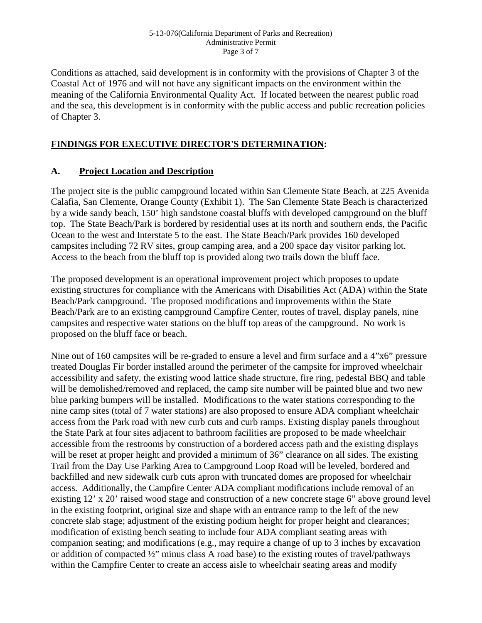#### 5-13-076(California Department of Parks and Recreation) Administrative Permit Page 3 of 7

Conditions as attached, said development is in conformity with the provisions of Chapter 3 of the Coastal Act of 1976 and will not have any significant impacts on the environment within the meaning of the California Environmental Quality Act. If located between the nearest public road and the sea, this development is in conformity with the public access and public recreation policies of Chapter 3.

### **FINDINGS FOR EXECUTIVE DIRECTOR'S DETERMINATION:**

### **A. Project Location and Description**

The project site is the public campground located within San Clemente State Beach, at 225 Avenida Calafia, San Clemente, Orange County (Exhibit 1). The San Clemente State Beach is characterized by a wide sandy beach, 150' high sandstone coastal bluffs with developed campground on the bluff top. The State Beach/Park is bordered by residential uses at its north and southern ends, the Pacific Ocean to the west and Interstate 5 to the east. The State Beach/Park provides 160 developed campsites including 72 RV sites, group camping area, and a 200 space day visitor parking lot. Access to the beach from the bluff top is provided along two trails down the bluff face.

The proposed development is an operational improvement project which proposes to update existing structures for compliance with the Americans with Disabilities Act (ADA) within the State Beach/Park campground. The proposed modifications and improvements within the State Beach/Park are to an existing campground Campfire Center, routes of travel, display panels, nine campsites and respective water stations on the bluff top areas of the campground. No work is proposed on the bluff face or beach.

Nine out of 160 campsites will be re-graded to ensure a level and firm surface and a 4"x6" pressure treated Douglas Fir border installed around the perimeter of the campsite for improved wheelchair accessibility and safety, the existing wood lattice shade structure, fire ring, pedestal BBQ and table will be demolished/removed and replaced, the camp site number will be painted blue and two new blue parking bumpers will be installed. Modifications to the water stations corresponding to the nine camp sites (total of 7 water stations) are also proposed to ensure ADA compliant wheelchair access from the Park road with new curb cuts and curb ramps. Existing display panels throughout the State Park at four sites adjacent to bathroom facilities are proposed to be made wheelchair accessible from the restrooms by construction of a bordered access path and the existing displays will be reset at proper height and provided a minimum of 36" clearance on all sides. The existing Trail from the Day Use Parking Area to Campground Loop Road will be leveled, bordered and backfilled and new sidewalk curb cuts apron with truncated domes are proposed for wheelchair access. Additionally, the Campfire Center ADA compliant modifications include removal of an existing 12' x 20' raised wood stage and construction of a new concrete stage 6" above ground level in the existing footprint, original size and shape with an entrance ramp to the left of the new concrete slab stage; adjustment of the existing podium height for proper height and clearances; modification of existing bench seating to include four ADA compliant seating areas with companion seating; and modifications (e.g., may require a change of up to 3 inches by excavation or addition of compacted ½" minus class A road base) to the existing routes of travel/pathways within the Campfire Center to create an access aisle to wheelchair seating areas and modify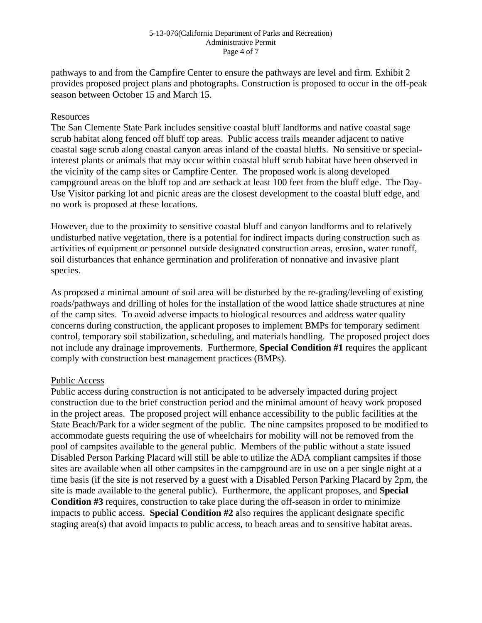#### 5-13-076(California Department of Parks and Recreation) Administrative Permit Page 4 of 7

pathways to and from the Campfire Center to ensure the pathways are level and firm. Exhibit 2 provides proposed project plans and photographs. Construction is proposed to occur in the off-peak season between October 15 and March 15.

### Resources

The San Clemente State Park includes sensitive coastal bluff landforms and native coastal sage scrub habitat along fenced off bluff top areas. Public access trails meander adjacent to native coastal sage scrub along coastal canyon areas inland of the coastal bluffs. No sensitive or specialinterest plants or animals that may occur within coastal bluff scrub habitat have been observed in the vicinity of the camp sites or Campfire Center. The proposed work is along developed campground areas on the bluff top and are setback at least 100 feet from the bluff edge. The Day-Use Visitor parking lot and picnic areas are the closest development to the coastal bluff edge, and no work is proposed at these locations.

However, due to the proximity to sensitive coastal bluff and canyon landforms and to relatively undisturbed native vegetation, there is a potential for indirect impacts during construction such as activities of equipment or personnel outside designated construction areas, erosion, water runoff, soil disturbances that enhance germination and proliferation of nonnative and invasive plant species.

As proposed a minimal amount of soil area will be disturbed by the re-grading/leveling of existing roads/pathways and drilling of holes for the installation of the wood lattice shade structures at nine of the camp sites. To avoid adverse impacts to biological resources and address water quality concerns during construction, the applicant proposes to implement BMPs for temporary sediment control, temporary soil stabilization, scheduling, and materials handling. The proposed project does not include any drainage improvements. Furthermore, **Special Condition #1** requires the applicant comply with construction best management practices (BMPs).

### Public Access

Public access during construction is not anticipated to be adversely impacted during project construction due to the brief construction period and the minimal amount of heavy work proposed in the project areas. The proposed project will enhance accessibility to the public facilities at the State Beach/Park for a wider segment of the public. The nine campsites proposed to be modified to accommodate guests requiring the use of wheelchairs for mobility will not be removed from the pool of campsites available to the general public. Members of the public without a state issued Disabled Person Parking Placard will still be able to utilize the ADA compliant campsites if those sites are available when all other campsites in the campground are in use on a per single night at a time basis (if the site is not reserved by a guest with a Disabled Person Parking Placard by 2pm, the site is made available to the general public). Furthermore, the applicant proposes, and **Special Condition #3** requires, construction to take place during the off-season in order to minimize impacts to public access. **Special Condition #2** also requires the applicant designate specific staging area(s) that avoid impacts to public access, to beach areas and to sensitive habitat areas.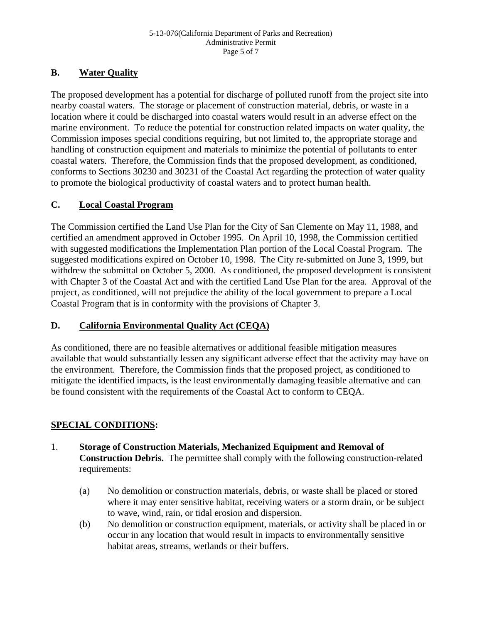# **B. Water Quality**

The proposed development has a potential for discharge of polluted runoff from the project site into nearby coastal waters. The storage or placement of construction material, debris, or waste in a location where it could be discharged into coastal waters would result in an adverse effect on the marine environment. To reduce the potential for construction related impacts on water quality, the Commission imposes special conditions requiring, but not limited to, the appropriate storage and handling of construction equipment and materials to minimize the potential of pollutants to enter coastal waters. Therefore, the Commission finds that the proposed development, as conditioned, conforms to Sections 30230 and 30231 of the Coastal Act regarding the protection of water quality to promote the biological productivity of coastal waters and to protect human health.

# **C. Local Coastal Program**

The Commission certified the Land Use Plan for the City of San Clemente on May 11, 1988, and certified an amendment approved in October 1995. On April 10, 1998, the Commission certified with suggested modifications the Implementation Plan portion of the Local Coastal Program. The suggested modifications expired on October 10, 1998. The City re-submitted on June 3, 1999, but withdrew the submittal on October 5, 2000. As conditioned, the proposed development is consistent with Chapter 3 of the Coastal Act and with the certified Land Use Plan for the area. Approval of the project, as conditioned, will not prejudice the ability of the local government to prepare a Local Coastal Program that is in conformity with the provisions of Chapter 3.

## **D. California Environmental Quality Act (CEQA)**

As conditioned, there are no feasible alternatives or additional feasible mitigation measures available that would substantially lessen any significant adverse effect that the activity may have on the environment. Therefore, the Commission finds that the proposed project, as conditioned to mitigate the identified impacts, is the least environmentally damaging feasible alternative and can be found consistent with the requirements of the Coastal Act to conform to CEQA.

# **SPECIAL CONDITIONS:**

- 1. **Storage of Construction Materials, Mechanized Equipment and Removal of Construction Debris.** The permittee shall comply with the following construction-related requirements:
	- (a) No demolition or construction materials, debris, or waste shall be placed or stored where it may enter sensitive habitat, receiving waters or a storm drain, or be subject to wave, wind, rain, or tidal erosion and dispersion.
	- (b) No demolition or construction equipment, materials, or activity shall be placed in or occur in any location that would result in impacts to environmentally sensitive habitat areas, streams, wetlands or their buffers.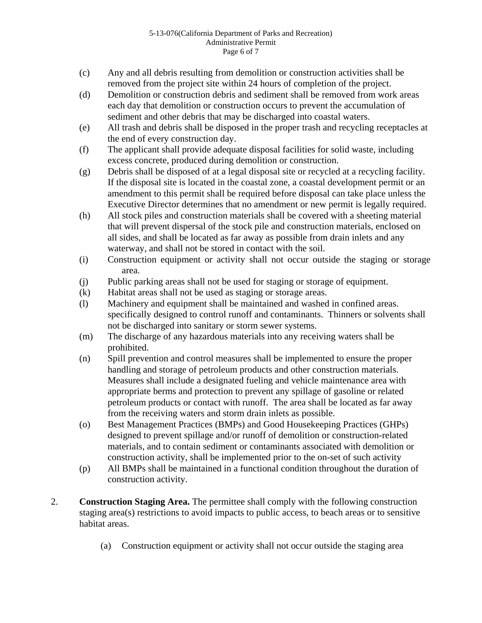#### 5-13-076(California Department of Parks and Recreation) Administrative Permit Page 6 of 7

- (c) Any and all debris resulting from demolition or construction activities shall be removed from the project site within 24 hours of completion of the project.
- (d) Demolition or construction debris and sediment shall be removed from work areas each day that demolition or construction occurs to prevent the accumulation of sediment and other debris that may be discharged into coastal waters.
- (e) All trash and debris shall be disposed in the proper trash and recycling receptacles at the end of every construction day.
- (f) The applicant shall provide adequate disposal facilities for solid waste, including excess concrete, produced during demolition or construction.
- (g) Debris shall be disposed of at a legal disposal site or recycled at a recycling facility. If the disposal site is located in the coastal zone, a coastal development permit or an amendment to this permit shall be required before disposal can take place unless the Executive Director determines that no amendment or new permit is legally required.
- (h) All stock piles and construction materials shall be covered with a sheeting material that will prevent dispersal of the stock pile and construction materials, enclosed on all sides, and shall be located as far away as possible from drain inlets and any waterway, and shall not be stored in contact with the soil.
- (i) Construction equipment or activity shall not occur outside the staging or storage area.
- (j) Public parking areas shall not be used for staging or storage of equipment.
- (k) Habitat areas shall not be used as staging or storage areas.
- (l) Machinery and equipment shall be maintained and washed in confined areas. specifically designed to control runoff and contaminants. Thinners or solvents shall not be discharged into sanitary or storm sewer systems.
- (m) The discharge of any hazardous materials into any receiving waters shall be prohibited.
- (n) Spill prevention and control measures shall be implemented to ensure the proper handling and storage of petroleum products and other construction materials. Measures shall include a designated fueling and vehicle maintenance area with appropriate berms and protection to prevent any spillage of gasoline or related petroleum products or contact with runoff. The area shall be located as far away from the receiving waters and storm drain inlets as possible.
- (o) Best Management Practices (BMPs) and Good Housekeeping Practices (GHPs) designed to prevent spillage and/or runoff of demolition or construction-related materials, and to contain sediment or contaminants associated with demolition or construction activity, shall be implemented prior to the on-set of such activity
- (p) All BMPs shall be maintained in a functional condition throughout the duration of construction activity.
- 2. **Construction Staging Area.** The permittee shall comply with the following construction staging area(s) restrictions to avoid impacts to public access, to beach areas or to sensitive habitat areas.
	- (a) Construction equipment or activity shall not occur outside the staging area